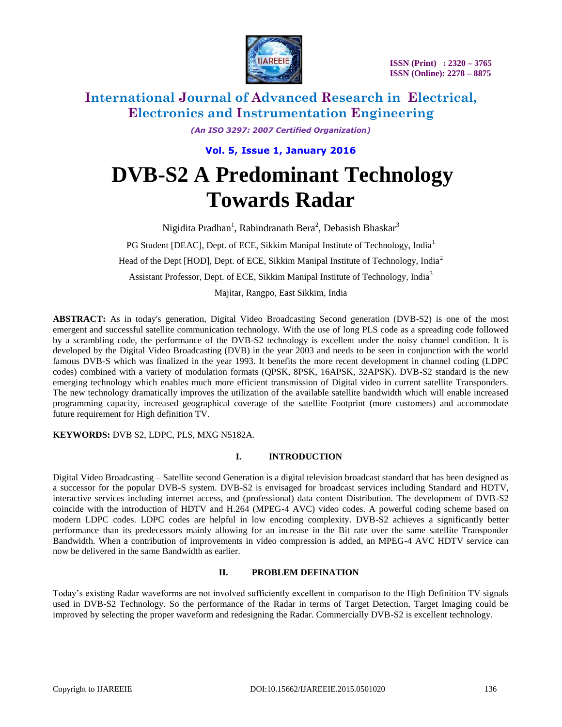

*(An ISO 3297: 2007 Certified Organization)*

**Vol. 5, Issue 1, January 2016**

# **DVB-S2 A Predominant Technology Towards Radar**

Nigidita Pradhan<sup>1</sup>, Rabindranath Bera<sup>2</sup>, Debasish Bhaskar<sup>3</sup>

PG Student [DEAC], Dept. of ECE, Sikkim Manipal Institute of Technology, India<sup>1</sup> Head of the Dept [HOD], Dept. of ECE, Sikkim Manipal Institute of Technology, India<sup>2</sup> Assistant Professor, Dept. of ECE, Sikkim Manipal Institute of Technology, India<sup>3</sup> Majitar, Rangpo, East Sikkim, India

**ABSTRACT:** As in today's generation, Digital Video Broadcasting Second generation (DVB-S2) is one of the most emergent and successful satellite communication technology. With the use of long PLS code as a spreading code followed by a scrambling code, the performance of the DVB-S2 technology is excellent under the noisy channel condition. It is developed by the Digital Video Broadcasting (DVB) in the year 2003 and needs to be seen in conjunction with the world famous DVB-S which was finalized in the year 1993. It benefits the more recent development in channel coding (LDPC codes) combined with a variety of modulation formats (QPSK, 8PSK, 16APSK, 32APSK). DVB-S2 standard is the new emerging technology which enables much more efficient transmission of Digital video in current satellite Transponders. The new technology dramatically improves the utilization of the available satellite bandwidth which will enable increased programming capacity, increased geographical coverage of the satellite Footprint (more customers) and accommodate future requirement for High definition TV.

**KEYWORDS:** DVB S2, LDPC, PLS, MXG N5182A.

### **I. INTRODUCTION**

Digital Video Broadcasting – Satellite second Generation is a digital television broadcast standard that has been designed as a successor for the popular DVB-S system. DVB-S2 is envisaged for broadcast services including Standard and HDTV, interactive services including internet access, and (professional) data content Distribution. The development of DVB-S2 coincide with the introduction of HDTV and H.264 (MPEG-4 AVC) video codes. A powerful coding scheme based on modern LDPC codes. LDPC codes are helpful in low encoding complexity. DVB-S2 achieves a significantly better performance than its predecessors mainly allowing for an increase in the Bit rate over the same satellite Transponder Bandwidth. When a contribution of improvements in video compression is added, an MPEG-4 AVC HDTV service can now be delivered in the same Bandwidth as earlier.

### **II. PROBLEM DEFINATION**

Today's existing Radar waveforms are not involved sufficiently excellent in comparison to the High Definition TV signals used in DVB-S2 Technology. So the performance of the Radar in terms of Target Detection, Target Imaging could be improved by selecting the proper waveform and redesigning the Radar. Commercially DVB-S2 is excellent technology.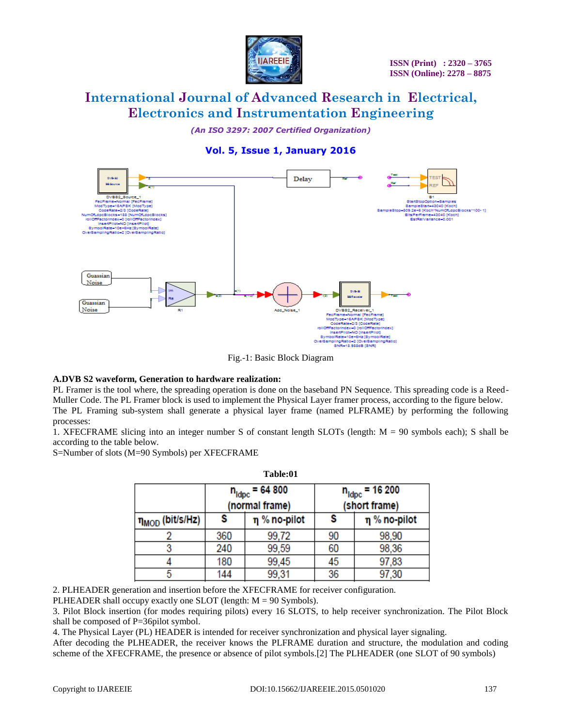

*(An ISO 3297: 2007 Certified Organization)*

### **Vol. 5, Issue 1, January 2016**



Fig.-1: Basic Block Diagram

### **A.DVB S2 waveform, Generation to hardware realization:**

PL Framer is the tool where, the spreading operation is done on the baseband PN Sequence. This spreading code is a Reed-Muller Code. The PL Framer block is used to implement the Physical Layer framer process, according to the figure below. The PL Framing sub-system shall generate a physical layer frame (named PLFRAME) by performing the following processes:

1. XFECFRAME slicing into an integer number S of constant length SLOTs (length: M = 90 symbols each); S shall be according to the table below.

S=Number of slots (M=90 Symbols) per XFECFRAME

| Table:01          |                                             |              |                                             |                   |  |  |
|-------------------|---------------------------------------------|--------------|---------------------------------------------|-------------------|--|--|
|                   | $n_{\text{ldpc}} = 64800$<br>(normal frame) |              | $n_{\text{ldpc}}$ = 16 200<br>(short frame) |                   |  |  |
| $ηMOD$ (bit/s/Hz) | s                                           | η % no-pilot | s                                           | $\eta$ % no-pilot |  |  |
|                   | 360                                         | 99.72        | 90                                          | 98,90             |  |  |
|                   | 240                                         | 99,59        | 60                                          | 98,36             |  |  |
|                   | 180                                         | 99,45        | 45                                          | 97,83             |  |  |
|                   | 144                                         | 99,31        | 36                                          | 97,30             |  |  |

2. PLHEADER generation and insertion before the XFECFRAME for receiver configuration.

PLHEADER shall occupy exactly one SLOT (length:  $M = 90$  Symbols).

3. Pilot Block insertion (for modes requiring pilots) every 16 SLOTS, to help receiver synchronization. The Pilot Block shall be composed of P=36pilot symbol.

4. The Physical Layer (PL) HEADER is intended for receiver synchronization and physical layer signaling.

After decoding the PLHEADER, the receiver knows the PLFRAME duration and structure, the modulation and coding scheme of the XFECFRAME, the presence or absence of pilot symbols.[2] The PLHEADER (one SLOT of 90 symbols)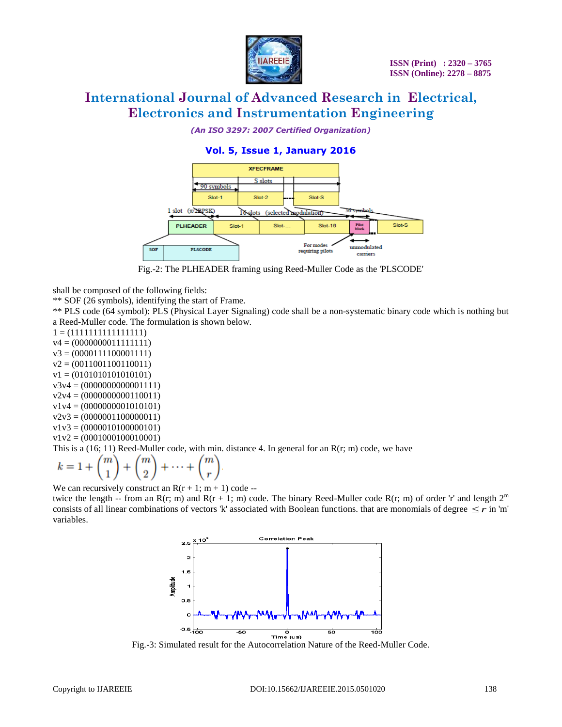

*(An ISO 3297: 2007 Certified Organization)*

### **Vol. 5, Issue 1, January 2016**



Fig.-2: The PLHEADER framing using Reed-Muller Code as the 'PLSCODE'

shall be composed of the following fields:

\*\* SOF (26 symbols), identifying the start of Frame.

\*\* PLS code (64 symbol): PLS (Physical Layer Signaling) code shall be a non-systematic binary code which is nothing but a Reed-Muller code. The formulation is shown below.

 $1 = (111111111111111)$  $v4 = (0000000011111111)$  $v3 = (0000111100001111)$ v2 = (0011001100110011)  $v1 = (0101010101010101)$  $v3v4 = (0000000000001111)$  $v2v4 = (0000000000110011)$  $v1v4 = (0000000001010101)$  $v2v3 = (0000001100000011)$  $v1v3 = (0000010100000101)$  $v1v2 = (0001000100010001)$ 

This is a (16; 11) Reed-Muller code, with min. distance 4. In general for an R(r; m) code, we have

$$
k = 1 + \binom{m}{1} + \binom{m}{2} + \dots + \binom{m}{r}.
$$

We can recursively construct an  $R(r + 1; m + 1)$  code --

twice the length -- from an R(r; m) and R(r + 1; m) code. The binary Reed-Muller code R(r; m) of order 'r' and length  $2^m$ consists of all linear combinations of vectors 'k' associated with Boolean functions. that are monomials of degree  $\leq r$  in 'm' variables.



Fig.-3: Simulated result for the Autocorrelation Nature of the Reed-Muller Code.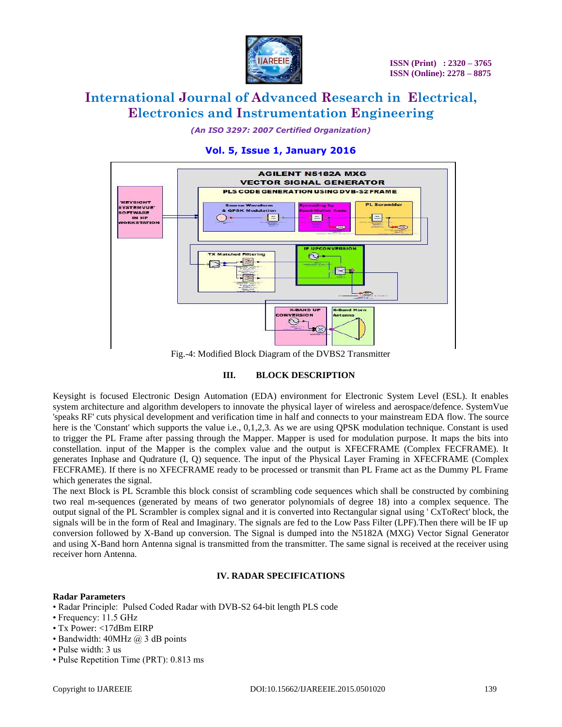

*(An ISO 3297: 2007 Certified Organization)*

### **Vol. 5, Issue 1, January 2016**



Fig.-4: Modified Block Diagram of the DVBS2 Transmitter

### **III. BLOCK DESCRIPTION**

Keysight is focused Electronic Design Automation (EDA) environment for Electronic System Level (ESL). It enables system architecture and algorithm developers to innovate the physical layer of wireless and aerospace/defence. SystemVue 'speaks RF' cuts physical development and verification time in half and connects to your mainstream EDA flow. The source here is the 'Constant' which supports the value i.e., 0,1,2,3. As we are using QPSK modulation technique. Constant is used to trigger the PL Frame after passing through the Mapper. Mapper is used for modulation purpose. It maps the bits into constellation. input of the Mapper is the complex value and the output is XFECFRAME (Complex FECFRAME). It generates Inphase and Qudrature (I, Q) sequence. The input of the Physical Layer Framing in XFECFRAME (Complex FECFRAME). If there is no XFECFRAME ready to be processed or transmit than PL Frame act as the Dummy PL Frame which generates the signal.

The next Block is PL Scramble this block consist of scrambling code sequences which shall be constructed by combining two real m-sequences (generated by means of two generator polynomials of degree 18) into a complex sequence. The output signal of the PL Scrambler is complex signal and it is converted into Rectangular signal using ' CxToRect' block, the signals will be in the form of Real and Imaginary. The signals are fed to the Low Pass Filter (LPF).Then there will be IF up conversion followed by X-Band up conversion. The Signal is dumped into the N5182A (MXG) Vector Signal Generator and using X-Band horn Antenna signal is transmitted from the transmitter. The same signal is received at the receiver using receiver horn Antenna.

### **IV. RADAR SPECIFICATIONS**

### **Radar Parameters**

- Radar Principle: Pulsed Coded Radar with DVB-S2 64-bit length PLS code
- Frequency: 11.5 GHz
- Tx Power: <17dBm EIRP
- Bandwidth:  $40MHz$   $@3$  dB points
- Pulse width: 3 us
- Pulse Repetition Time (PRT): 0.813 ms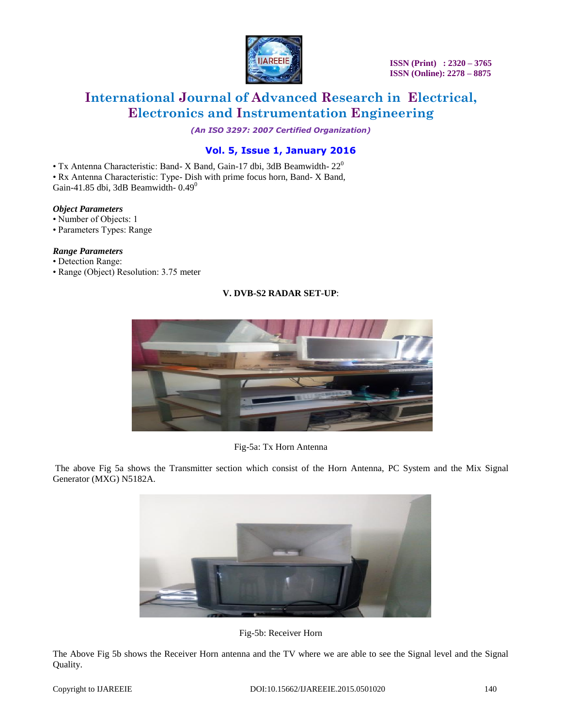

 **ISSN (Print) : 2320 – 3765 ISSN (Online): 2278 – 8875**

# **International Journal of Advanced Research in Electrical, Electronics and Instrumentation Engineering**

*(An ISO 3297: 2007 Certified Organization)*

### **Vol. 5, Issue 1, January 2016**

• Tx Antenna Characteristic: Band- X Band, Gain-17 dbi, 3dB Beamwidth-  $22^0$ 

• Rx Antenna Characteristic: Type- Dish with prime focus horn, Band- X Band, Gain-41.85 dbi, 3dB Beamwidth- $0.49<sup>0</sup>$ 

#### *Object Parameters*

- Number of Objects: 1
- Parameters Types: Range

#### *Range Parameters*

- Detection Range:
- Range (Object) Resolution: 3.75 meter

### **V. DVB-S2 RADAR SET-UP**:



Fig-5a: Tx Horn Antenna

The above Fig 5a shows the Transmitter section which consist of the Horn Antenna, PC System and the Mix Signal Generator (MXG) N5182A.



Fig-5b: Receiver Horn

The Above Fig 5b shows the Receiver Horn antenna and the TV where we are able to see the Signal level and the Signal Quality.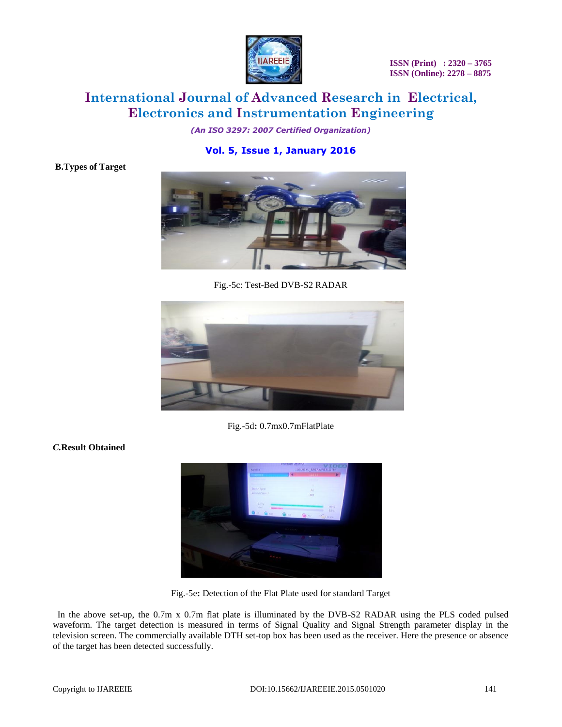

 **ISSN (Print) : 2320 – 3765 ISSN (Online): 2278 – 8875**

# **International Journal of Advanced Research in Electrical, Electronics and Instrumentation Engineering**

*(An ISO 3297: 2007 Certified Organization)*

### **Vol. 5, Issue 1, January 2016**

**B.Types of Target**



Fig.-5c: Test-Bed DVB-S2 RADAR



Fig.-5d**:** 0.7mx0.7mFlatPlate

#### *C.***Result Obtained**



Fig.-5e**:** Detection of the Flat Plate used for standard Target

 In the above set-up, the 0.7m x 0.7m flat plate is illuminated by the DVB-S2 RADAR using the PLS coded pulsed waveform. The target detection is measured in terms of Signal Quality and Signal Strength parameter display in the television screen. The commercially available DTH set-top box has been used as the receiver. Here the presence or absence of the target has been detected successfully.